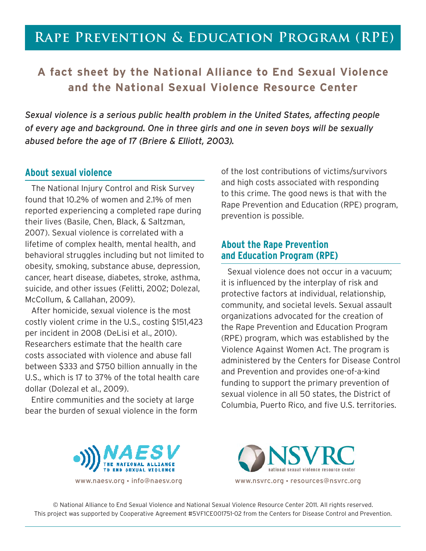## **Rape Prevention & Education Program (RPE)**

## **A fact sheet by the National Alliance to End Sexual Violence and the National Sexual Violence Resource Center**

*Sexual violence is a serious public health problem in the United States, affecting people of every age and background. One in three girls and one in seven boys will be sexually abused before the age of 17 (Briere & Elliott, 2003).* 

#### **About sexual violence**

The National Injury Control and Risk Survey found that 10.2% of women and 2.1% of men reported experiencing a completed rape during their lives (Basile, Chen, Black, & Saltzman, 2007). Sexual violence is correlated with a lifetime of complex health, mental health, and behavioral struggles including but not limited to obesity, smoking, substance abuse, depression, cancer, heart disease, diabetes, stroke, asthma, suicide, and other issues (Felitti, 2002; Dolezal, McCollum, & Callahan, 2009).

After homicide, sexual violence is the most costly violent crime in the U.S., costing \$151,423 per incident in 2008 (DeLisi et al., 2010). Researchers estimate that the health care costs associated with violence and abuse fall between \$333 and \$750 billion annually in the U.S., which is 17 to 37% of the total health care dollar (Dolezal et al., 2009).

Entire communities and the society at large bear the burden of sexual violence in the form of the lost contributions of victims/survivors and high costs associated with responding to this crime. The good news is that with the Rape Prevention and Education (RPE) program, prevention is possible.

## **About the Rape Prevention and Education Program (RPE)**

Sexual violence does not occur in a vacuum; it is influenced by the interplay of risk and protective factors at individual, relationship, community, and societal levels. Sexual assault organizations advocated for the creation of the Rape Prevention and Education Program (RPE) program, which was established by the Violence Against Women Act. The program is administered by the Centers for Disease Control and Prevention and provides one-of-a-kind funding to support the primary prevention of sexual violence in all 50 states, the District of Columbia, Puerto Rico, and five U.S. territories.



© National Alliance to End Sexual Violence and National Sexual Violence Resource Center 2011. All rights reserved. This project was supported by Cooperative Agreement #5VF1CE001751-02 from the Centers for Disease Control and Prevention.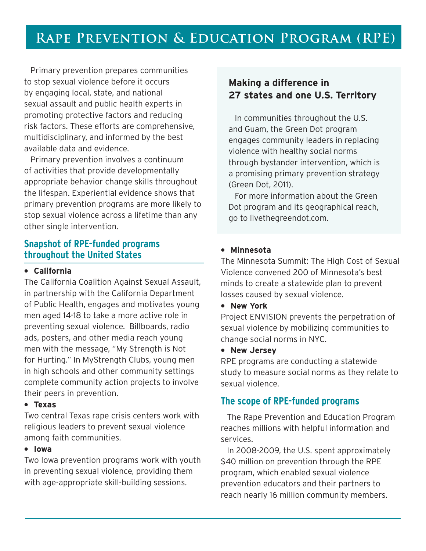# **Rape Prevention & Education Program (RPE)**

Primary prevention prepares communities to stop sexual violence before it occurs by engaging local, state, and national sexual assault and public health experts in promoting protective factors and reducing risk factors. These efforts are comprehensive, multidisciplinary, and informed by the best available data and evidence.

Primary prevention involves a continuum of activities that provide developmentally appropriate behavior change skills throughout the lifespan. Experiential evidence shows that primary prevention programs are more likely to stop sexual violence across a lifetime than any other single intervention.

## **Snapshot of RPE-funded programs throughout the United States**

#### **• California**

The California Coalition Against Sexual Assault, in partnership with the California Department of Public Health, engages and motivates young men aged 14-18 to take a more active role in preventing sexual violence. Billboards, radio ads, posters, and other media reach young men with the message, "My Strength is Not for Hurting." In MyStrength Clubs, young men in high schools and other community settings complete community action projects to involve their peers in prevention.

#### <sup>l</sup>**Texas**

Two central Texas rape crisis centers work with religious leaders to prevent sexual violence among faith communities.

### **•** lowa

Two Iowa prevention programs work with youth in preventing sexual violence, providing them with age-appropriate skill-building sessions.

## **Making a difference in 27 states and one U.S. Territory**

In communities throughout the U.S. and Guam, the Green Dot program engages community leaders in replacing violence with healthy social norms through bystander intervention, which is a promising primary prevention strategy (Green Dot, 2011).

For more information about the Green Dot program and its geographical reach, go to livethegreendot.com.

#### **• Minnesota**

The Minnesota Summit: The High Cost of Sexual Violence convened 200 of Minnesota's best minds to create a statewide plan to prevent losses caused by sexual violence.

**• New York** 

Project ENVISION prevents the perpetration of sexual violence by mobilizing communities to change social norms in NYC.

**• New Jersey** 

RPE programs are conducting a statewide study to measure social norms as they relate to sexual violence.

### **The scope of RPE-funded programs**

The Rape Prevention and Education Program reaches millions with helpful information and services.

In 2008-2009, the U.S. spent approximately \$40 million on prevention through the RPE program, which enabled sexual violence prevention educators and their partners to reach nearly 16 million community members.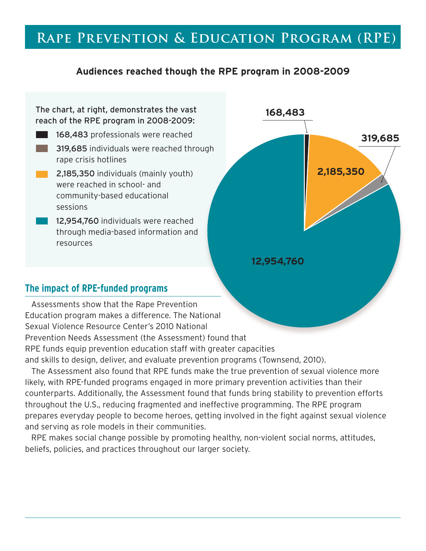## **Rape Prevention & Education Program (RPE)**

## **Audiences reached though the RPE program in 2008-2009**

### The chart, at right, demonstrates the vast reach of the RPE program in 2008-2009:

- **168,483** professionals were reached **319,685** individuals were reached through rape crisis hotlines **2,185,350** individuals (mainly youth)
	- were reached in school- and community-based educational sessions
	- 12,954,760 individuals were reached through media-based information and resources



## **The impact of RPE-funded programs**

Assessments show that the Rape Prevention Education program makes a difference. The National Sexual Violence Resource Center's 2010 National Prevention Needs Assessment (the Assessment) found that RPE funds equip prevention education staff with greater capacities and skills to design, deliver, and evaluate prevention programs (Townsend, 2010).

The Assessment also found that RPE funds make the true prevention of sexual violence more likely, with RPE-funded programs engaged in more primary prevention activities than their counterparts. Additionally, the Assessment found that funds bring stability to prevention efforts throughout the U.S., reducing fragmented and ineffective programming. The RPE program prepares everyday people to become heroes, getting involved in the fight against sexual violence and serving as role models in their communities.

RPE makes social change possible by promoting healthy, non-violent social norms, attitudes, beliefs, policies, and practices throughout our larger society.